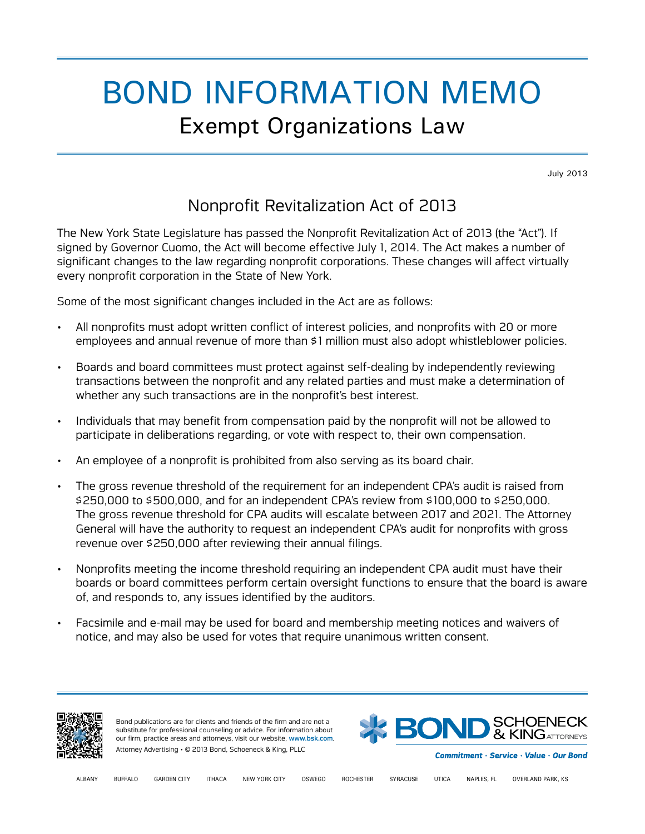## BOND INFORMATION MEMO Exempt Organizations Law

July 2013

## Nonprofit Revitalization Act of 2013

The New York State Legislature has passed the Nonprofit Revitalization Act of 2013 (the "Act"). If signed by Governor Cuomo, the Act will become effective July 1, 2014. The Act makes a number of significant changes to the law regarding nonprofit corporations. These changes will affect virtually every nonprofit corporation in the State of New York.

Some of the most significant changes included in the Act are as follows:

- All nonprofits must adopt written conflict of interest policies, and nonprofits with 20 or more employees and annual revenue of more than \$1 million must also adopt whistleblower policies.
- Boards and board committees must protect against self-dealing by independently reviewing transactions between the nonprofit and any related parties and must make a determination of whether any such transactions are in the nonprofit's best interest.
- Individuals that may benefit from compensation paid by the nonprofit will not be allowed to participate in deliberations regarding, or vote with respect to, their own compensation.
- An employee of a nonprofit is prohibited from also serving as its board chair.
- The gross revenue threshold of the requirement for an independent CPA's audit is raised from \$250,000 to \$500,000, and for an independent CPA's review from \$100,000 to \$250,000. The gross revenue threshold for CPA audits will escalate between 2017 and 2021. The Attorney General will have the authority to request an independent CPA's audit for nonprofits with gross revenue over \$250,000 after reviewing their annual filings.
- Nonprofits meeting the income threshold requiring an independent CPA audit must have their boards or board committees perform certain oversight functions to ensure that the board is aware of, and responds to, any issues identified by the auditors.
- Facsimile and e-mail may be used for board and membership meeting notices and waivers of notice, and may also be used for votes that require unanimous written consent.



Bond publications are for clients and friends of the firm and are not a substitute for professional counseling or advice. For information about our firm, practice areas and attorneys, visit our website, [www.bsk.com](http://www.bsk.com/). Attorney Advertising • © 2013 Bond, Schoeneck & King, PLLC



Commitment · Service · Value · Our Bond